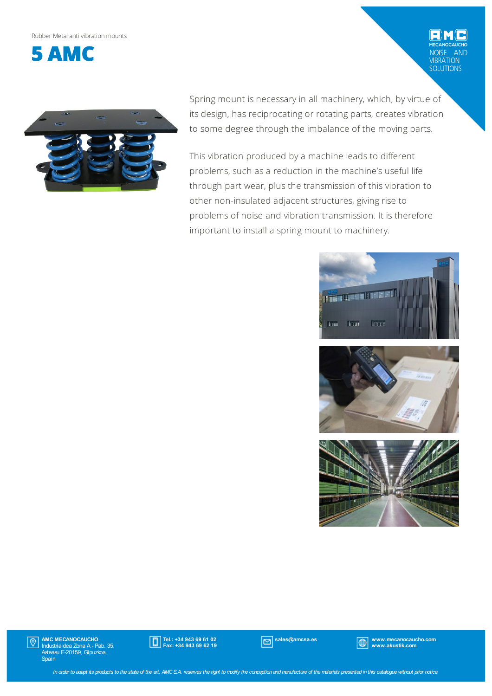Rubber Metalanti vibrationmounts



AND VIBRATION<br>SOLUTIONS



Spring mount is necessary in all machinery, which, by virtue of its design, has reciprocating or rotating parts, creates vibration to some degree through the imbalance of the moving parts.

This vibration produced by a machine leads to different problems, such as a reduction in the machine's useful life through part wear, plus the transmission of this vibration to other non-insulated adjacent structures, giving rise to problems of noise and vibration transmission. It is therefore important to install a spring mount to machinery.







AMC MECANOCAUCHO Industrialdea Zona A - Pab. 35. Asteasu E-20159, Gipuzkoa Spain  $|\mathbb{O}|$ 



sales@amcsa.es www.mecanocaucho.com www.akustik.com

In order to adapt its products to the state of the art, AMCS.A. reserves the right to modify the conception and manufacture of the materials presented in this catalogue without prior notice.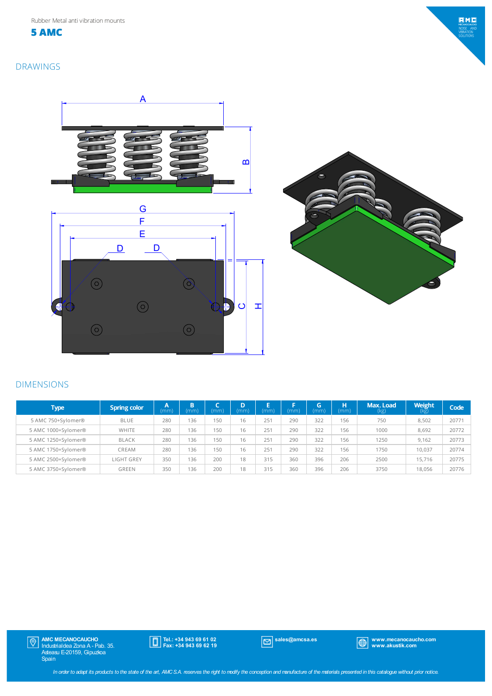**5 AMC**



## DRAWINGS





## DIMENSIONS

| <b>Type</b>         | <b>Spring color</b> | A<br>(mm) | B<br>(mm) | (mm) | D<br>(mm) | ь<br>(mm) | (mm) | G<br>(mm) | н<br>(mm) | Max. Load<br>(kg) | <b>Weight</b><br>(kg) | Code  |
|---------------------|---------------------|-----------|-----------|------|-----------|-----------|------|-----------|-----------|-------------------|-----------------------|-------|
| 5 AMC 750+Sylomer®  | <b>BLUE</b>         | 280       | 136       | 150  | 16        | 251       | 290  | 322       | 156       | 750               | 8,502                 | 20771 |
| 5 AMC 1000+Sylomer® | WHITE               | 280       | 136       | 150  | 16        | 251       | 290  | 322       | 156       | 1000              | 8,692                 | 20772 |
| 5 AMC 1250+Sylomer® | <b>BLACK</b>        | 280       | 136       | 150  | 16        | 251       | 290  | 322       | 156       | 1250              | 9.162                 | 20773 |
| 5 AMC 1750+Sylomer® | CREAM               | 280       | 136       | 150  | 16        | 251       | 290  | 322       | 156       | 1750              | 10.037                | 20774 |
| 5 AMC 2500+Sylomer® | <b>LIGHT GREY</b>   | 350       | 136       | 200  | 18        | 315       | 360  | 396       | 206       | 2500              | 15,716                | 20775 |
| 5 AMC 3750+Sylomer® | <b>GREEN</b>        | 350       | 136       | 200  | 18        | 315       | 360  | 396       | 206       | 3750              | 18.056                | 20776 |

AMC MECANOCAUCHO Industrialdea Zona A - Pab. 35. Asteasu E-20159, Gipuzkoa Spain

Tel.: +34 943 69 61 02 Fax: +34 943 69 62 19

sales@amcsa.es www.mecanocaucho.com www.akustik.com

In order to adapt its products to the state of the art, AMCS.A. reserves the right to modify the conception and manufacture of the materials presented in this catalogue without prior notice.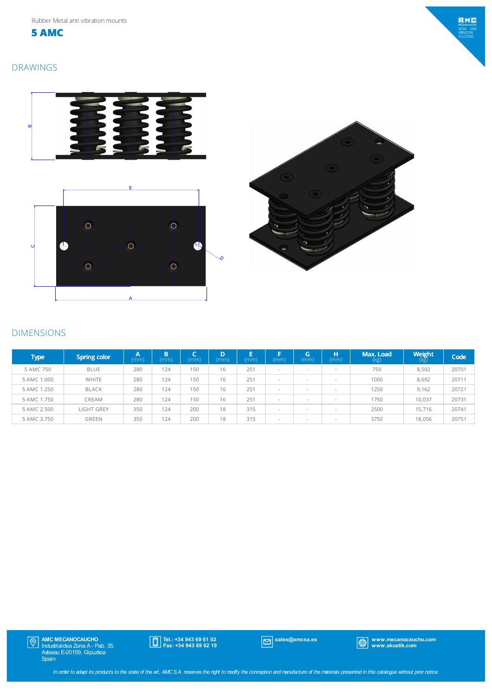**5 AMC**

## DRAWINGS





## DIMENSIONS

| <b>Type</b> | <b>Spring color</b> | $\overline{A}$<br>(mm) | в<br>(mm) | (mm) | D<br>(mm) | E<br>mm | (mm) | G<br>(mm)                | н<br>(mm)                | Max. Load<br>(kg) | Weight<br>(kg) | Code  |
|-------------|---------------------|------------------------|-----------|------|-----------|---------|------|--------------------------|--------------------------|-------------------|----------------|-------|
| 5 AMC 750   | <b>BLUE</b>         | 280                    | 124       | 150  | 16        | 251     |      | $\sim$                   | $\overline{\phantom{a}}$ | 750               | 8,502          | 20701 |
| 5 AMC 1.000 | WHITE               | 280                    | 124       | 150  | 16        | 251     |      | $\sim$                   | $\overline{\phantom{a}}$ | 1000              | 8,692          | 20711 |
| 5 AMC 1.250 | BLACK               | 280                    | 124       | 150  | 16        | 251     | . .  | $\sim$                   | $\overline{\phantom{a}}$ | 1250              | 9.162          | 20721 |
| 5 AMC 1.750 | CREAM               | 280                    | 124       | 150  | 16        | 251     |      | $\sim$                   | $\overline{\phantom{a}}$ | 1750              | 10,037         | 20731 |
| 5 AMC 2.500 | <b>LIGHT GREY</b>   | 350                    | 124       | 200  | 18        | 315     |      | $\sim$                   | $\overline{\phantom{a}}$ | 2500              | 15.716         | 20741 |
| 5 AMC 3.750 | GREEN               | 350                    | 124       | 200  | 18        | 315     |      | $\overline{\phantom{a}}$ | $\overline{\phantom{a}}$ | 3750              | 18.056         | 20751 |



Tel.: +34 943 69 61 02 Fax: +34 943 69 62 19

sales@amcsa.es www.mecanocaucho.com www.akustik.com